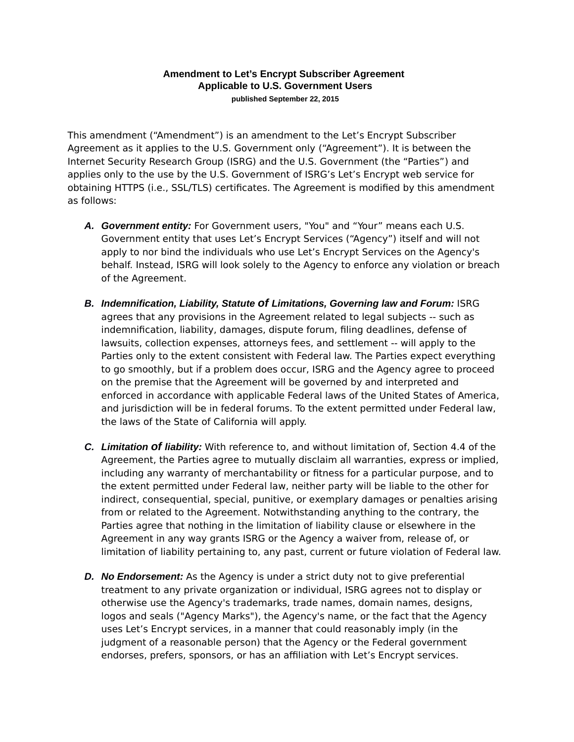## **Amendment to Let's Encrypt Subscriber Agreement Applicable to U.S. Government Users published September 22, 2015**

This amendment ("Amendment") is an amendment to the Let's Encrypt Subscriber Agreement as it applies to the U.S. Government only ("Agreement"). It is between the Internet Security Research Group (ISRG) and the U.S. Government (the "Parties") and applies only to the use by the U.S. Government of ISRG's Let's Encrypt web service for obtaining HTTPS (i.e., SSL/TLS) certificates. The Agreement is modified by this amendment as follows:

- *A. Government entity:* For Government users, "You" and "Your" means each U.S. Government entity that uses Let's Encrypt Services ("Agency") itself and will not apply to nor bind the individuals who use Let's Encrypt Services on the Agency's behalf. Instead, ISRG will look solely to the Agency to enforce any violation or breach of the Agreement.
- *B. Indemnification, Liability, Statute of Limitations, Governing law and Forum:* ISRG agrees that any provisions in the Agreement related to legal subjects -- such as indemnification, liability, damages, dispute forum, filing deadlines, defense of lawsuits, collection expenses, attorneys fees, and settlement -- will apply to the Parties only to the extent consistent with Federal law. The Parties expect everything to go smoothly, but if a problem does occur, ISRG and the Agency agree to proceed on the premise that the Agreement will be governed by and interpreted and enforced in accordance with applicable Federal laws of the United States of America, and jurisdiction will be in federal forums. To the extent permitted under Federal law, the laws of the State of California will apply.
- *C. Limitation of liability:* With reference to, and without limitation of, Section 4.4 of the Agreement, the Parties agree to mutually disclaim all warranties, express or implied, including any warranty of merchantability or fitness for a particular purpose, and to the extent permitted under Federal law, neither party will be liable to the other for indirect, consequential, special, punitive, or exemplary damages or penalties arising from or related to the Agreement. Notwithstanding anything to the contrary, the Parties agree that nothing in the limitation of liability clause or elsewhere in the Agreement in any way grants ISRG or the Agency a waiver from, release of, or limitation of liability pertaining to, any past, current or future violation of Federal law.
- *D. No Endorsement:* As the Agency is under a strict duty not to give preferential treatment to any private organization or individual, ISRG agrees not to display or otherwise use the Agency's trademarks, trade names, domain names, designs, logos and seals ("Agency Marks"), the Agency's name, or the fact that the Agency uses Let's Encrypt services, in a manner that could reasonably imply (in the judgment of a reasonable person) that the Agency or the Federal government endorses, prefers, sponsors, or has an affiliation with Let's Encrypt services.